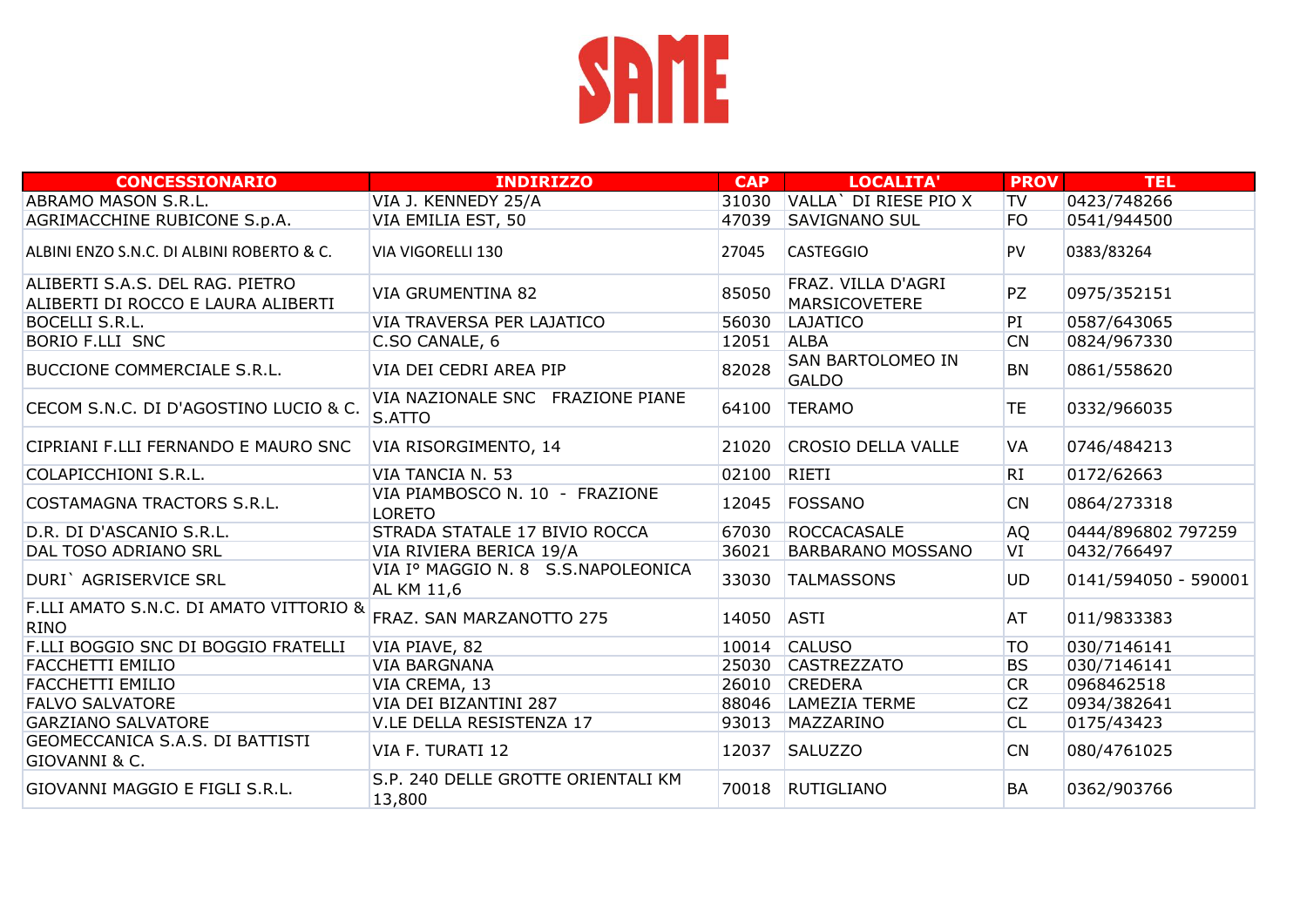

| <b>CONCESSIONARIO</b>                                                 | <b>INDIRIZZO</b>                                 | <b>CAP</b> | LOCALITA'                           | <b>PROV</b> | <b>TEL</b>           |
|-----------------------------------------------------------------------|--------------------------------------------------|------------|-------------------------------------|-------------|----------------------|
| <b>ABRAMO MASON S.R.L.</b>                                            | VIA J. KENNEDY 25/A                              | 31030      | VALLA' DI RIESE PIO X               | TV          | 0423/748266          |
| AGRIMACCHINE RUBICONE S.p.A.                                          | VIA EMILIA EST, 50                               | 47039      | <b>SAVIGNANO SUL</b>                | FO          | 0541/944500          |
| ALBINI ENZO S.N.C. DI ALBINI ROBERTO & C.                             | VIA VIGORELLI 130                                | 27045      | <b>CASTEGGIO</b>                    | <b>PV</b>   | 0383/83264           |
| ALIBERTI S.A.S. DEL RAG. PIETRO<br>ALIBERTI DI ROCCO E LAURA ALIBERTI | <b>VIA GRUMENTINA 82</b>                         | 85050      | FRAZ. VILLA D'AGRI<br>MARSICOVETERE | PZ          | 0975/352151          |
| BOCELLI S.R.L.                                                        | VIA TRAVERSA PER LAJATICO                        | 56030      | LAJATICO                            | PI          | 0587/643065          |
| <b>BORIO F.LLI SNC</b>                                                | C.SO CANALE, 6                                   | 12051      | <b>ALBA</b>                         | CN          | 0824/967330          |
| <b>BUCCIONE COMMERCIALE S.R.L.</b>                                    | VIA DEI CEDRI AREA PIP                           | 82028      | SAN BARTOLOMEO IN<br><b>GALDO</b>   | <b>BN</b>   | 0861/558620          |
| CECOM S.N.C. DI D'AGOSTINO LUCIO & C.                                 | VIA NAZIONALE SNC FRAZIONE PIANE<br>S.ATTO       | 64100      | <b>TERAMO</b>                       | <b>TE</b>   | 0332/966035          |
| CIPRIANI F.LLI FERNANDO E MAURO SNC                                   | VIA RISORGIMENTO, 14                             | 21020      | <b>CROSIO DELLA VALLE</b>           | VA          | 0746/484213          |
| COLAPICCHIONI S.R.L.                                                  | VIA TANCIA N. 53                                 | 02100      | RIETI                               | RI          | 0172/62663           |
| COSTAMAGNA TRACTORS S.R.L.                                            | VIA PIAMBOSCO N. 10 - FRAZIONE<br><b>LORETO</b>  | 12045      | FOSSANO                             | <b>CN</b>   | 0864/273318          |
| D.R. DI D'ASCANIO S.R.L.                                              | STRADA STATALE 17 BIVIO ROCCA                    | 67030      | <b>ROCCACASALE</b>                  | <b>AQ</b>   | 0444/896802 797259   |
| DAL TOSO ADRIANO SRL                                                  | VIA RIVIERA BERICA 19/A                          | 36021      | <b>BARBARANO MOSSANO</b>            | VI          | 0432/766497          |
| DURI` AGRISERVICE SRL                                                 | VIA Iº MAGGIO N. 8 S.S.NAPOLEONICA<br>AL KM 11,6 | 33030      | <b>TALMASSONS</b>                   | <b>UD</b>   | 0141/594050 - 590001 |
| F.LLI AMATO S.N.C. DI AMATO VITTORIO &<br><b>RINO</b>                 | FRAZ. SAN MARZANOTTO 275                         | 14050      | <b>ASTI</b>                         | AT          | 011/9833383          |
| F.LLI BOGGIO SNC DI BOGGIO FRATELLI                                   | VIA PIAVE, 82                                    |            | 10014 CALUSO                        | <b>TO</b>   | 030/7146141          |
| FACCHETTI EMILIO                                                      | <b>VIA BARGNANA</b>                              | 25030      | <b>CASTREZZATO</b>                  | <b>BS</b>   | 030/7146141          |
| <b>FACCHETTI EMILIO</b>                                               | VIA CREMA, 13                                    | 26010      | <b>CREDERA</b>                      | <b>CR</b>   | 0968462518           |
| <b>FALVO SALVATORE</b>                                                | VIA DEI BIZANTINI 287                            | 88046      | LAMEZIA TERME                       | <b>CZ</b>   | 0934/382641          |
| <b>GARZIANO SALVATORE</b>                                             | V.LE DELLA RESISTENZA 17                         | 93013      | MAZZARINO                           | CL          | 0175/43423           |
| GEOMECCANICA S.A.S. DI BATTISTI<br>GIOVANNI & C.                      | VIA F. TURATI 12                                 | 12037      | <b>SALUZZO</b>                      | <b>CN</b>   | 080/4761025          |
| GIOVANNI MAGGIO E FIGLI S.R.L.                                        | S.P. 240 DELLE GROTTE ORIENTALI KM<br>13,800     | 70018      | <b>RUTIGLIANO</b>                   | BA          | 0362/903766          |